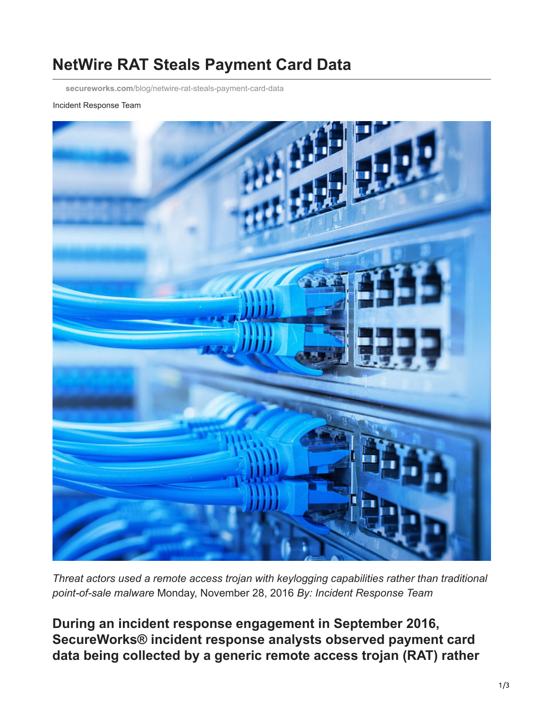# **NetWire RAT Steals Payment Card Data**

**secureworks.com**[/blog/netwire-rat-steals-payment-card-data](https://www.secureworks.com/blog/netwire-rat-steals-payment-card-data)

#### Incident Response Team



*Threat actors used a remote access trojan with keylogging capabilities rather than traditional point-of-sale malware* Monday, November 28, 2016 *By: Incident Response Team*

**During an incident response engagement in September 2016, SecureWorks® incident response analysts observed payment card data being collected by a generic remote access trojan (RAT) rather**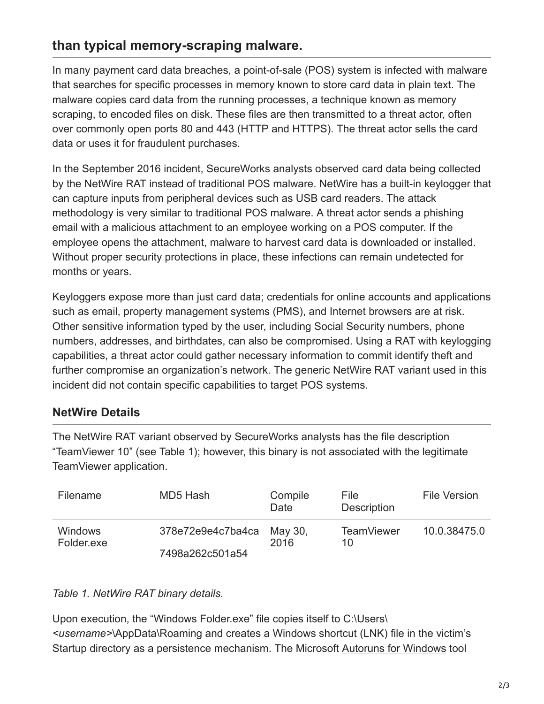# **than typical memory-scraping malware.**

In many payment card data breaches, a point-of-sale (POS) system is infected with malware that searches for specific processes in memory known to store card data in plain text. The malware copies card data from the running processes, a technique known as memory scraping, to encoded files on disk. These files are then transmitted to a threat actor, often over commonly open ports 80 and 443 (HTTP and HTTPS). The threat actor sells the card data or uses it for fraudulent purchases.

In the September 2016 incident, SecureWorks analysts observed card data being collected by the NetWire RAT instead of traditional POS malware. NetWire has a built-in keylogger that can capture inputs from peripheral devices such as USB card readers. The attack methodology is very similar to traditional POS malware. A threat actor sends a phishing email with a malicious attachment to an employee working on a POS computer. If the employee opens the attachment, malware to harvest card data is downloaded or installed. Without proper security protections in place, these infections can remain undetected for months or years.

Keyloggers expose more than just card data; credentials for online accounts and applications such as email, property management systems (PMS), and Internet browsers are at risk. Other sensitive information typed by the user, including Social Security numbers, phone numbers, addresses, and birthdates, can also be compromised. Using a RAT with keylogging capabilities, a threat actor could gather necessary information to commit identify theft and further compromise an organization's network. The generic NetWire RAT variant used in this incident did not contain specific capabilities to target POS systems.

### **NetWire Details**

The NetWire RAT variant observed by SecureWorks analysts has the file description "TeamViewer 10" (see Table 1); however, this binary is not associated with the legitimate TeamViewer application.

| Filename                      | MD5 Hash                  | Compile<br>Date | File.<br><b>Description</b> | <b>File Version</b> |
|-------------------------------|---------------------------|-----------------|-----------------------------|---------------------|
| <b>Windows</b><br>Folder, exe | 378e72e9e4c7ba4ca May 30, | 2016            | <b>TeamViewer</b><br>10     | 10.0.38475.0        |
|                               | 7498a262c501a54           |                 |                             |                     |

#### *Table 1. NetWire RAT binary details.*

Upon execution, the "Windows Folder.exe" file copies itself to C:\Users\ *<username>*\AppData\Roaming and creates a Windows shortcut (LNK) file in the victim's Startup directory as a persistence mechanism. The Microsoft [Autoruns for Windows](https://docs.microsoft.com/en-us/sysinternals/downloads/autoruns) tool